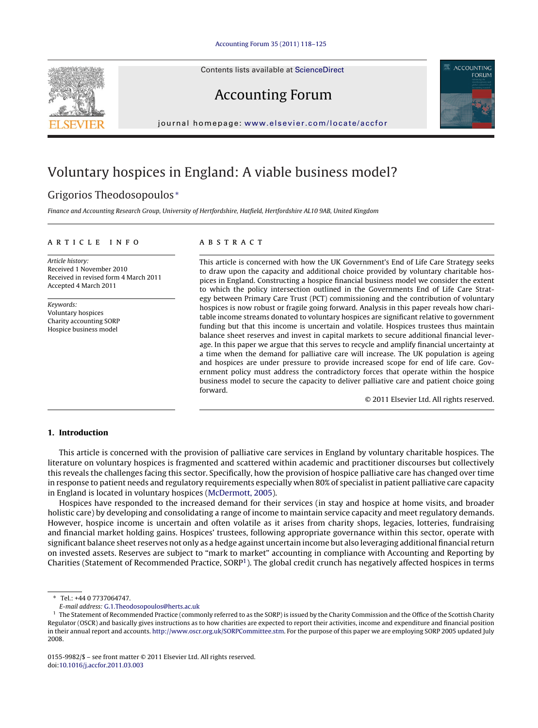Contents lists available at [ScienceDirect](http://www.sciencedirect.com/science/journal/01559982)



Accounting Forum



journal homepage: [www.elsevier.com/locate/accfor](http://www.elsevier.com/locate/accfor)

# Voluntary hospices in England: A viable business model?

## Grigorios Theodosopoulos <sup>∗</sup>

Finance and Accounting Research Group, University of Hertfordshire, Hatfield, Hertfordshire AL10 9AB, United Kingdom

### article info

Article history: Received 1 November 2010 Received in revised form 4 March 2011 Accepted 4 March 2011

Keywords: Voluntary hospices Charity accounting SORP Hospice business model

### abstract

This article is concerned with how the UK Government's End of Life Care Strategy seeks to draw upon the capacity and additional choice provided by voluntary charitable hospices in England. Constructing a hospice financial business model we consider the extent to which the policy intersection outlined in the Governments End of Life Care Strategy between Primary Care Trust (PCT) commissioning and the contribution of voluntary hospices is now robust or fragile going forward. Analysis in this paper reveals how charitable income streams donated to voluntary hospices are significant relative to government funding but that this income is uncertain and volatile. Hospices trustees thus maintain balance sheet reserves and invest in capital markets to secure additional financial leverage. In this paper we argue that this serves to recycle and amplify financial uncertainty at a time when the demand for palliative care will increase. The UK population is ageing and hospices are under pressure to provide increased scope for end of life care. Government policy must address the contradictory forces that operate within the hospice business model to secure the capacity to deliver palliative care and patient choice going forward.

© 2011 Elsevier Ltd. All rights reserved.

#### **1. Introduction**

This article is concerned with the provision of palliative care services in England by voluntary charitable hospices. The literature on voluntary hospices is fragmented and scattered within academic and practitioner discourses but collectively this reveals the challenges facing this sector. Specifically, how the provision of hospice palliative care has changed over time in response to patient needs and regulatory requirements especially when 80% of specialist in patient palliative care capacity in England is located in voluntary hospices ([McDermott, 2005\).](#page--1-0)

Hospices have responded to the increased demand for their services (in stay and hospice at home visits, and broader holistic care) by developing and consolidating a range of income to maintain service capacity and meet regulatory demands. However, hospice income is uncertain and often volatile as it arises from charity shops, legacies, lotteries, fundraising and financial market holding gains. Hospices' trustees, following appropriate governance within this sector, operate with significant balance sheet reserves not only as a hedge against uncertain income but also leveraging additional financial return on invested assets. Reserves are subject to "mark to market" accounting in compliance with Accounting and Reporting by Charities (Statement of Recommended Practice, SORP1). The global credit crunch has negatively affected hospices in terms

<sup>∗</sup> Tel.: +44 0 7737064747.

E-mail address: [G.1.Theodosopoulos@herts.ac.uk](mailto:G.1.Theodosopoulos@herts.ac.uk)

<sup>&</sup>lt;sup>1</sup> The Statement of Recommended Practice (commonly referred to as the SORP) is issued by the Charity Commission and the Office of the Scottish Charity Regulator (OSCR) and basically gives instructions as to how charities are expected to report their activities, income and expenditure and financial position in their annual report and accounts. [http://www.oscr.org.uk/SORPCommittee.stm.](http://www.oscr.org.uk/SORPCommittee.stm) For the purpose of this paper we are employing SORP 2005 updated July 2008.

<sup>0155-9982/\$ –</sup> see front matter © 2011 Elsevier Ltd. All rights reserved. doi[:10.1016/j.accfor.2011.03.003](dx.doi.org/10.1016/j.accfor.2011.03.003)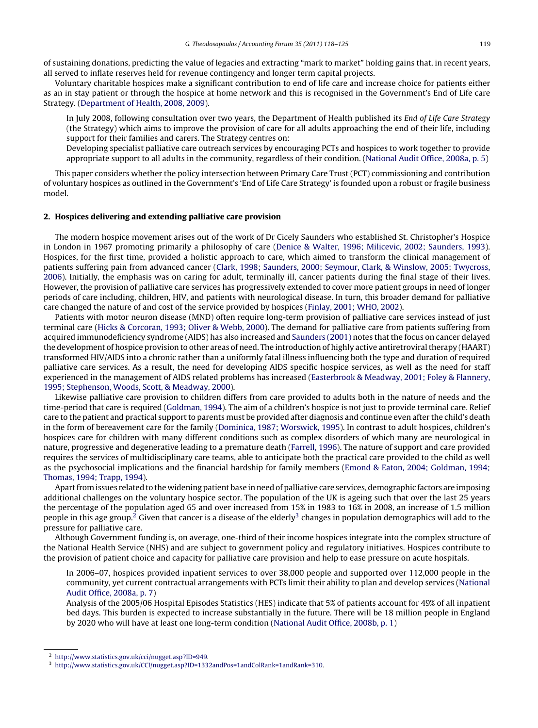of sustaining donations, predicting the value of legacies and extracting "mark to market" holding gains that, in recent years, all served to inflate reserves held for revenue contingency and longer term capital projects.

Voluntary charitable hospices make a significant contribution to end of life care and increase choice for patients either as an in stay patient or through the hospice at home network and this is recognised in the Government's End of Life care Strategy. ([Department of Health, 2008, 2009\).](#page--1-0)

In July 2008, following consultation over two years, the Department of Health published its End of Life Care Strategy (the Strategy) which aims to improve the provision of care for all adults approaching the end of their life, including support for their families and carers. The Strategy centres on:

Developing specialist palliative care outreach services by encouraging PCTs and hospices to work together to provide appropriate support to all adults in the community, regardless of their condition. [\(National Audit Office, 2008a, p. 5\)](#page--1-0)

This paper considers whether the policy intersection between Primary Care Trust (PCT) commissioning and contribution of voluntary hospices as outlined in the Government's 'End of Life Care Strategy' is founded upon a robust or fragile business model.

#### **2. Hospices delivering and extending palliative care provision**

The modern hospice movement arises out of the work of Dr Cicely Saunders who established St. Christopher's Hospice in London in 1967 promoting primarily a philosophy of care ([Denice & Walter, 1996; Milicevic, 2002; Saunders, 1993\).](#page--1-0) Hospices, for the first time, provided a holistic approach to care, which aimed to transform the clinical management of patients suffering pain from advanced cancer [\(Clark, 1998; Saunders, 2000; Seymour, Clark, & Winslow, 2005; Twycross,](#page--1-0) [2006\).](#page--1-0) Initially, the emphasis was on caring for adult, terminally ill, cancer patients during the final stage of their lives. However, the provision of palliative care services has progressively extended to cover more patient groups in need of longer periods of care including, children, HIV, and patients with neurological disease. In turn, this broader demand for palliative care changed the nature of and cost of the service provided by hospices [\(Finlay, 2001; WHO, 2002\).](#page--1-0)

Patients with motor neuron disease (MND) often require long-term provision of palliative care services instead of just terminal care ([Hicks & Corcoran, 1993; Oliver & Webb, 2000\).](#page--1-0) The demand for palliative care from patients suffering from acquired immunodeficiency syndrome (AIDS) has also increased and [Saunders \(2001\)](#page--1-0) notes that the focus on cancer delayed the development of hospice provision to other areas of need. The introduction of highly active antiretroviral therapy (HAART) transformed HIV/AIDS into a chronic rather than a uniformly fatal illness influencing both the type and duration of required palliative care services. As a result, the need for developing AIDS specific hospice services, as well as the need for staff experienced in the management of AIDS related problems has increased [\(Easterbrook & Meadway, 2001; Foley & Flannery,](#page--1-0) [1995; Stephenson, Woods, Scott, & Meadway, 2000\).](#page--1-0)

Likewise palliative care provision to children differs from care provided to adults both in the nature of needs and the time-period that care is required [\(Goldman, 1994\).](#page--1-0) The aim of a children's hospice is not just to provide terminal care. Relief care to the patient and practical support to parents must be provided after diagnosis and continue even after the child's death in the form of bereavement care for the family ([Dominica, 1987; Worswick, 1995\).](#page--1-0) In contrast to adult hospices, children's hospices care for children with many different conditions such as complex disorders of which many are neurological in nature, progressive and degenerative leading to a premature death [\(Farrell, 1996\).](#page--1-0) The nature of support and care provided requires the services of multidisciplinary care teams, able to anticipate both the practical care provided to the child as well as the psychosocial implications and the financial hardship for family members ([Emond & Eaton, 2004; Goldman, 1994;](#page--1-0) [Thomas, 1994; Trapp, 1994\).](#page--1-0)

Apart from issues related to the widening patient base in need of palliative care services, demographic factors are imposing additional challenges on the voluntary hospice sector. The population of the UK is ageing such that over the last 25 years the percentage of the population aged 65 and over increased from 15% in 1983 to 16% in 2008, an increase of 1.5 million people in this age group.<sup>2</sup> Given that cancer is a disease of the elderly<sup>3</sup> changes in population demographics will add to the pressure for palliative care.

Although Government funding is, on average, one-third of their income hospices integrate into the complex structure of the National Health Service (NHS) and are subject to government policy and regulatory initiatives. Hospices contribute to the provision of patient choice and capacity for palliative care provision and help to ease pressure on acute hospitals.

In 2006–07, hospices provided inpatient services to over 38,000 people and supported over 112,000 people in the community, yet current contractual arrangements with PCTs limit their ability to plan and develop services ([National](#page--1-0) [Audit Office, 2008a, p. 7\)](#page--1-0)

Analysis of the 2005/06 Hospital Episodes Statistics (HES) indicate that 5% of patients account for 49% of all inpatient bed days. This burden is expected to increase substantially in the future. There will be 18 million people in England by 2020 who will have at least one long-term condition [\(National Audit Office, 2008b, p. 1\)](#page--1-0)

<sup>2</sup> [http://www.statistics.gov.uk/cci/nugget.asp?ID=949.](http://www.statistics.gov.uk/cci/nugget.asp%3FID=949)

<sup>3</sup> [http://www.statistics.gov.uk/CCI/nugget.asp?ID=1332andPos=1andColRank=1andRank=310](http://www.statistics.gov.uk/CCI/nugget.asp%3FID=1332andPos=1andColRank=1andRank=310).